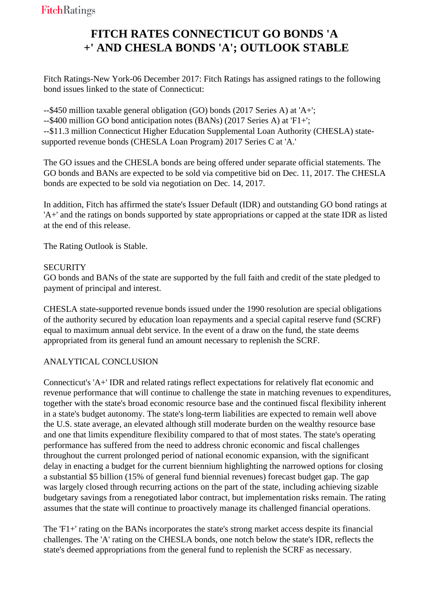# **FITCH RATES CONNECTICUT GO BONDS 'A +' AND CHESLA BONDS 'A'; OUTLOOK STABLE**

 Fitch Ratings-New York-06 December 2017: Fitch Ratings has assigned ratings to the following bond issues linked to the state of Connecticut:

--\$450 million taxable general obligation (GO) bonds (2017 Series A) at 'A+';

--\$400 million GO bond anticipation notes (BANs) (2017 Series A) at 'F1+';

 --\$11.3 million Connecticut Higher Education Supplemental Loan Authority (CHESLA) statesupported revenue bonds (CHESLA Loan Program) 2017 Series C at 'A.'

 The GO issues and the CHESLA bonds are being offered under separate official statements. The GO bonds and BANs are expected to be sold via competitive bid on Dec. 11, 2017. The CHESLA bonds are expected to be sold via negotiation on Dec. 14, 2017.

 In addition, Fitch has affirmed the state's Issuer Default (IDR) and outstanding GO bond ratings at 'A+' and the ratings on bonds supported by state appropriations or capped at the state IDR as listed at the end of this release.

The Rating Outlook is Stable.

# **SECURITY**

 GO bonds and BANs of the state are supported by the full faith and credit of the state pledged to payment of principal and interest.

 CHESLA state-supported revenue bonds issued under the 1990 resolution are special obligations of the authority secured by education loan repayments and a special capital reserve fund (SCRF) equal to maximum annual debt service. In the event of a draw on the fund, the state deems appropriated from its general fund an amount necessary to replenish the SCRF.

# ANALYTICAL CONCLUSION

 Connecticut's 'A+' IDR and related ratings reflect expectations for relatively flat economic and revenue performance that will continue to challenge the state in matching revenues to expenditures, together with the state's broad economic resource base and the continued fiscal flexibility inherent in a state's budget autonomy. The state's long-term liabilities are expected to remain well above the U.S. state average, an elevated although still moderate burden on the wealthy resource base and one that limits expenditure flexibility compared to that of most states. The state's operating performance has suffered from the need to address chronic economic and fiscal challenges throughout the current prolonged period of national economic expansion, with the significant delay in enacting a budget for the current biennium highlighting the narrowed options for closing a substantial \$5 billion (15% of general fund biennial revenues) forecast budget gap. The gap was largely closed through recurring actions on the part of the state, including achieving sizable budgetary savings from a renegotiated labor contract, but implementation risks remain. The rating assumes that the state will continue to proactively manage its challenged financial operations.

 The 'F1+' rating on the BANs incorporates the state's strong market access despite its financial challenges. The 'A' rating on the CHESLA bonds, one notch below the state's IDR, reflects the state's deemed appropriations from the general fund to replenish the SCRF as necessary.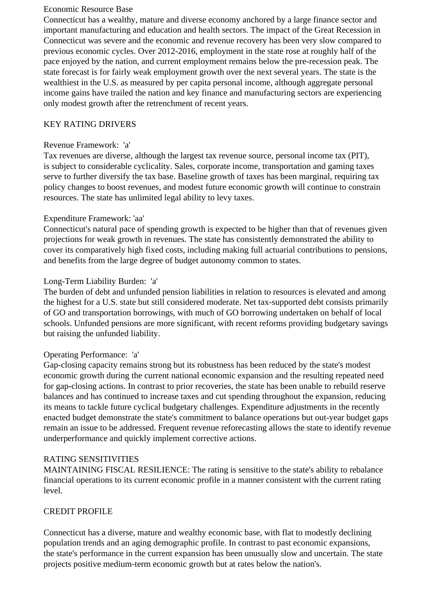#### Economic Resource Base

 Connecticut has a wealthy, mature and diverse economy anchored by a large finance sector and important manufacturing and education and health sectors. The impact of the Great Recession in Connecticut was severe and the economic and revenue recovery has been very slow compared to previous economic cycles. Over 2012-2016, employment in the state rose at roughly half of the pace enjoyed by the nation, and current employment remains below the pre-recession peak. The state forecast is for fairly weak employment growth over the next several years. The state is the wealthiest in the U.S. as measured by per capita personal income, although aggregate personal income gains have trailed the nation and key finance and manufacturing sectors are experiencing only modest growth after the retrenchment of recent years.

# KEY RATING DRIVERS

#### Revenue Framework: 'a'

 Tax revenues are diverse, although the largest tax revenue source, personal income tax (PIT), is subject to considerable cyclicality. Sales, corporate income, transportation and gaming taxes serve to further diversify the tax base. Baseline growth of taxes has been marginal, requiring tax policy changes to boost revenues, and modest future economic growth will continue to constrain resources. The state has unlimited legal ability to levy taxes.

## Expenditure Framework: 'aa'

 Connecticut's natural pace of spending growth is expected to be higher than that of revenues given projections for weak growth in revenues. The state has consistently demonstrated the ability to cover its comparatively high fixed costs, including making full actuarial contributions to pensions, and benefits from the large degree of budget autonomy common to states.

## Long-Term Liability Burden: 'a'

 The burden of debt and unfunded pension liabilities in relation to resources is elevated and among the highest for a U.S. state but still considered moderate. Net tax-supported debt consists primarily of GO and transportation borrowings, with much of GO borrowing undertaken on behalf of local schools. Unfunded pensions are more significant, with recent reforms providing budgetary savings but raising the unfunded liability.

## Operating Performance: 'a'

 Gap-closing capacity remains strong but its robustness has been reduced by the state's modest economic growth during the current national economic expansion and the resulting repeated need for gap-closing actions. In contrast to prior recoveries, the state has been unable to rebuild reserve balances and has continued to increase taxes and cut spending throughout the expansion, reducing its means to tackle future cyclical budgetary challenges. Expenditure adjustments in the recently enacted budget demonstrate the state's commitment to balance operations but out-year budget gaps remain an issue to be addressed. Frequent revenue reforecasting allows the state to identify revenue underperformance and quickly implement corrective actions.

## RATING SENSITIVITIES

 MAINTAINING FISCAL RESILIENCE: The rating is sensitive to the state's ability to rebalance financial operations to its current economic profile in a manner consistent with the current rating level.

## CREDIT PROFILE

 Connecticut has a diverse, mature and wealthy economic base, with flat to modestly declining population trends and an aging demographic profile. In contrast to past economic expansions, the state's performance in the current expansion has been unusually slow and uncertain. The state projects positive medium-term economic growth but at rates below the nation's.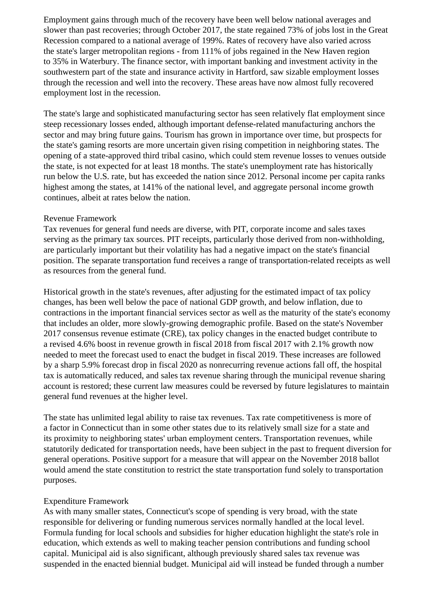Employment gains through much of the recovery have been well below national averages and slower than past recoveries; through October 2017, the state regained 73% of jobs lost in the Great Recession compared to a national average of 199%. Rates of recovery have also varied across the state's larger metropolitan regions - from 111% of jobs regained in the New Haven region to 35% in Waterbury. The finance sector, with important banking and investment activity in the southwestern part of the state and insurance activity in Hartford, saw sizable employment losses through the recession and well into the recovery. These areas have now almost fully recovered employment lost in the recession.

 The state's large and sophisticated manufacturing sector has seen relatively flat employment since steep recessionary losses ended, although important defense-related manufacturing anchors the sector and may bring future gains. Tourism has grown in importance over time, but prospects for the state's gaming resorts are more uncertain given rising competition in neighboring states. The opening of a state-approved third tribal casino, which could stem revenue losses to venues outside the state, is not expected for at least 18 months. The state's unemployment rate has historically run below the U.S. rate, but has exceeded the nation since 2012. Personal income per capita ranks highest among the states, at 141% of the national level, and aggregate personal income growth continues, albeit at rates below the nation.

#### Revenue Framework

 Tax revenues for general fund needs are diverse, with PIT, corporate income and sales taxes serving as the primary tax sources. PIT receipts, particularly those derived from non-withholding, are particularly important but their volatility has had a negative impact on the state's financial position. The separate transportation fund receives a range of transportation-related receipts as well as resources from the general fund.

 Historical growth in the state's revenues, after adjusting for the estimated impact of tax policy changes, has been well below the pace of national GDP growth, and below inflation, due to contractions in the important financial services sector as well as the maturity of the state's economy that includes an older, more slowly-growing demographic profile. Based on the state's November 2017 consensus revenue estimate (CRE), tax policy changes in the enacted budget contribute to a revised 4.6% boost in revenue growth in fiscal 2018 from fiscal 2017 with 2.1% growth now needed to meet the forecast used to enact the budget in fiscal 2019. These increases are followed by a sharp 5.9% forecast drop in fiscal 2020 as nonrecurring revenue actions fall off, the hospital tax is automatically reduced, and sales tax revenue sharing through the municipal revenue sharing account is restored; these current law measures could be reversed by future legislatures to maintain general fund revenues at the higher level.

 The state has unlimited legal ability to raise tax revenues. Tax rate competitiveness is more of a factor in Connecticut than in some other states due to its relatively small size for a state and its proximity to neighboring states' urban employment centers. Transportation revenues, while statutorily dedicated for transportation needs, have been subject in the past to frequent diversion for general operations. Positive support for a measure that will appear on the November 2018 ballot would amend the state constitution to restrict the state transportation fund solely to transportation purposes.

#### Expenditure Framework

 As with many smaller states, Connecticut's scope of spending is very broad, with the state responsible for delivering or funding numerous services normally handled at the local level. Formula funding for local schools and subsidies for higher education highlight the state's role in education, which extends as well to making teacher pension contributions and funding school capital. Municipal aid is also significant, although previously shared sales tax revenue was suspended in the enacted biennial budget. Municipal aid will instead be funded through a number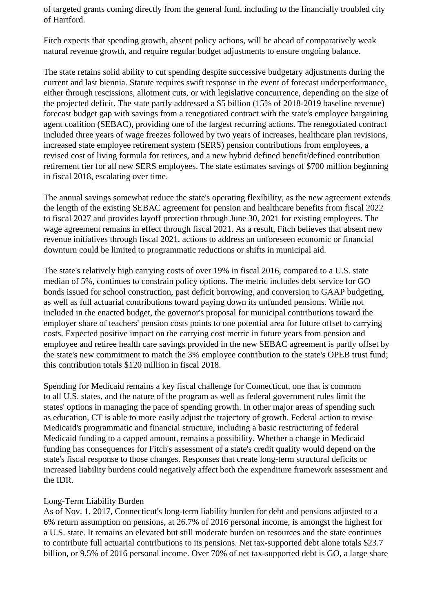of targeted grants coming directly from the general fund, including to the financially troubled city of Hartford.

 Fitch expects that spending growth, absent policy actions, will be ahead of comparatively weak natural revenue growth, and require regular budget adjustments to ensure ongoing balance.

 The state retains solid ability to cut spending despite successive budgetary adjustments during the current and last biennia. Statute requires swift response in the event of forecast underperformance, either through rescissions, allotment cuts, or with legislative concurrence, depending on the size of the projected deficit. The state partly addressed a \$5 billion (15% of 2018-2019 baseline revenue) forecast budget gap with savings from a renegotiated contract with the state's employee bargaining agent coalition (SEBAC), providing one of the largest recurring actions. The renegotiated contract included three years of wage freezes followed by two years of increases, healthcare plan revisions, increased state employee retirement system (SERS) pension contributions from employees, a revised cost of living formula for retirees, and a new hybrid defined benefit/defined contribution retirement tier for all new SERS employees. The state estimates savings of \$700 million beginning in fiscal 2018, escalating over time.

 The annual savings somewhat reduce the state's operating flexibility, as the new agreement extends the length of the existing SEBAC agreement for pension and healthcare benefits from fiscal 2022 to fiscal 2027 and provides layoff protection through June 30, 2021 for existing employees. The wage agreement remains in effect through fiscal 2021. As a result, Fitch believes that absent new revenue initiatives through fiscal 2021, actions to address an unforeseen economic or financial downturn could be limited to programmatic reductions or shifts in municipal aid.

 The state's relatively high carrying costs of over 19% in fiscal 2016, compared to a U.S. state median of 5%, continues to constrain policy options. The metric includes debt service for GO bonds issued for school construction, past deficit borrowing, and conversion to GAAP budgeting, as well as full actuarial contributions toward paying down its unfunded pensions. While not included in the enacted budget, the governor's proposal for municipal contributions toward the employer share of teachers' pension costs points to one potential area for future offset to carrying costs. Expected positive impact on the carrying cost metric in future years from pension and employee and retiree health care savings provided in the new SEBAC agreement is partly offset by the state's new commitment to match the 3% employee contribution to the state's OPEB trust fund; this contribution totals \$120 million in fiscal 2018.

 Spending for Medicaid remains a key fiscal challenge for Connecticut, one that is common to all U.S. states, and the nature of the program as well as federal government rules limit the states' options in managing the pace of spending growth. In other major areas of spending such as education, CT is able to more easily adjust the trajectory of growth. Federal action to revise Medicaid's programmatic and financial structure, including a basic restructuring of federal Medicaid funding to a capped amount, remains a possibility. Whether a change in Medicaid funding has consequences for Fitch's assessment of a state's credit quality would depend on the state's fiscal response to those changes. Responses that create long-term structural deficits or increased liability burdens could negatively affect both the expenditure framework assessment and the IDR.

## Long-Term Liability Burden

 As of Nov. 1, 2017, Connecticut's long-term liability burden for debt and pensions adjusted to a 6% return assumption on pensions, at 26.7% of 2016 personal income, is amongst the highest for a U.S. state. It remains an elevated but still moderate burden on resources and the state continues to contribute full actuarial contributions to its pensions. Net tax-supported debt alone totals \$23.7 billion, or 9.5% of 2016 personal income. Over 70% of net tax-supported debt is GO, a large share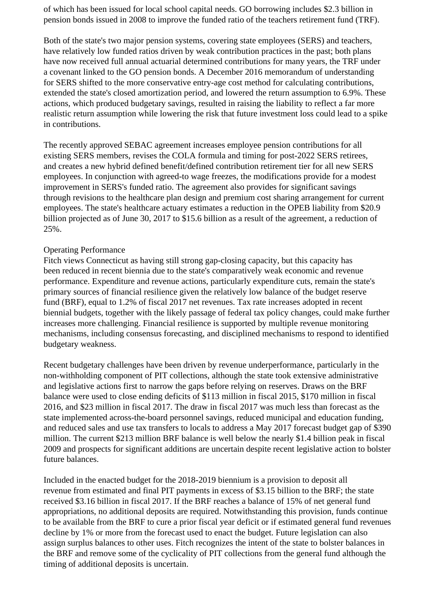of which has been issued for local school capital needs. GO borrowing includes \$2.3 billion in pension bonds issued in 2008 to improve the funded ratio of the teachers retirement fund (TRF).

 Both of the state's two major pension systems, covering state employees (SERS) and teachers, have relatively low funded ratios driven by weak contribution practices in the past; both plans have now received full annual actuarial determined contributions for many years, the TRF under a covenant linked to the GO pension bonds. A December 2016 memorandum of understanding for SERS shifted to the more conservative entry-age cost method for calculating contributions, extended the state's closed amortization period, and lowered the return assumption to 6.9%. These actions, which produced budgetary savings, resulted in raising the liability to reflect a far more realistic return assumption while lowering the risk that future investment loss could lead to a spike in contributions.

 The recently approved SEBAC agreement increases employee pension contributions for all existing SERS members, revises the COLA formula and timing for post-2022 SERS retirees, and creates a new hybrid defined benefit/defined contribution retirement tier for all new SERS employees. In conjunction with agreed-to wage freezes, the modifications provide for a modest improvement in SERS's funded ratio. The agreement also provides for significant savings through revisions to the healthcare plan design and premium cost sharing arrangement for current employees. The state's healthcare actuary estimates a reduction in the OPEB liability from \$20.9 billion projected as of June 30, 2017 to \$15.6 billion as a result of the agreement, a reduction of 25%.

#### Operating Performance

 Fitch views Connecticut as having still strong gap-closing capacity, but this capacity has been reduced in recent biennia due to the state's comparatively weak economic and revenue performance. Expenditure and revenue actions, particularly expenditure cuts, remain the state's primary sources of financial resilience given the relatively low balance of the budget reserve fund (BRF), equal to 1.2% of fiscal 2017 net revenues. Tax rate increases adopted in recent biennial budgets, together with the likely passage of federal tax policy changes, could make further increases more challenging. Financial resilience is supported by multiple revenue monitoring mechanisms, including consensus forecasting, and disciplined mechanisms to respond to identified budgetary weakness.

 Recent budgetary challenges have been driven by revenue underperformance, particularly in the non-withholding component of PIT collections, although the state took extensive administrative and legislative actions first to narrow the gaps before relying on reserves. Draws on the BRF balance were used to close ending deficits of \$113 million in fiscal 2015, \$170 million in fiscal 2016, and \$23 million in fiscal 2017. The draw in fiscal 2017 was much less than forecast as the state implemented across-the-board personnel savings, reduced municipal and education funding, and reduced sales and use tax transfers to locals to address a May 2017 forecast budget gap of \$390 million. The current \$213 million BRF balance is well below the nearly \$1.4 billion peak in fiscal 2009 and prospects for significant additions are uncertain despite recent legislative action to bolster future balances.

 Included in the enacted budget for the 2018-2019 biennium is a provision to deposit all revenue from estimated and final PIT payments in excess of \$3.15 billion to the BRF; the state received \$3.16 billion in fiscal 2017. If the BRF reaches a balance of 15% of net general fund appropriations, no additional deposits are required. Notwithstanding this provision, funds continue to be available from the BRF to cure a prior fiscal year deficit or if estimated general fund revenues decline by 1% or more from the forecast used to enact the budget. Future legislation can also assign surplus balances to other uses. Fitch recognizes the intent of the state to bolster balances in the BRF and remove some of the cyclicality of PIT collections from the general fund although the timing of additional deposits is uncertain.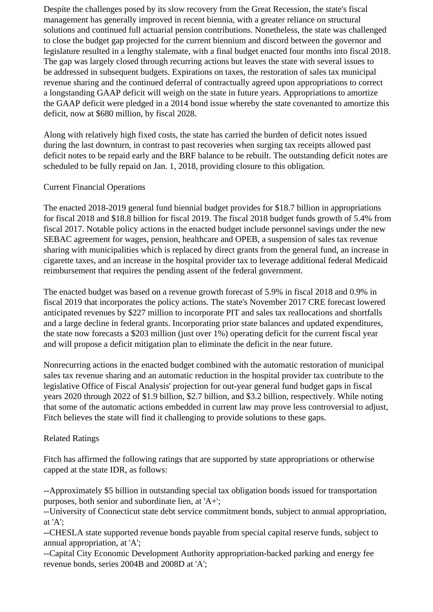Despite the challenges posed by its slow recovery from the Great Recession, the state's fiscal management has generally improved in recent biennia, with a greater reliance on structural solutions and continued full actuarial pension contributions. Nonetheless, the state was challenged to close the budget gap projected for the current biennium and discord between the governor and legislature resulted in a lengthy stalemate, with a final budget enacted four months into fiscal 2018. The gap was largely closed through recurring actions but leaves the state with several issues to be addressed in subsequent budgets. Expirations on taxes, the restoration of sales tax municipal revenue sharing and the continued deferral of contractually agreed upon appropriations to correct a longstanding GAAP deficit will weigh on the state in future years. Appropriations to amortize the GAAP deficit were pledged in a 2014 bond issue whereby the state covenanted to amortize this deficit, now at \$680 million, by fiscal 2028.

 Along with relatively high fixed costs, the state has carried the burden of deficit notes issued during the last downturn, in contrast to past recoveries when surging tax receipts allowed past deficit notes to be repaid early and the BRF balance to be rebuilt. The outstanding deficit notes are scheduled to be fully repaid on Jan. 1, 2018, providing closure to this obligation.

## Current Financial Operations

 The enacted 2018-2019 general fund biennial budget provides for \$18.7 billion in appropriations for fiscal 2018 and \$18.8 billion for fiscal 2019. The fiscal 2018 budget funds growth of 5.4% from fiscal 2017. Notable policy actions in the enacted budget include personnel savings under the new SEBAC agreement for wages, pension, healthcare and OPEB, a suspension of sales tax revenue sharing with municipalities which is replaced by direct grants from the general fund, an increase in cigarette taxes, and an increase in the hospital provider tax to leverage additional federal Medicaid reimbursement that requires the pending assent of the federal government.

 The enacted budget was based on a revenue growth forecast of 5.9% in fiscal 2018 and 0.9% in fiscal 2019 that incorporates the policy actions. The state's November 2017 CRE forecast lowered anticipated revenues by \$227 million to incorporate PIT and sales tax reallocations and shortfalls and a large decline in federal grants. Incorporating prior state balances and updated expenditures, the state now forecasts a \$203 million (just over 1%) operating deficit for the current fiscal year and will propose a deficit mitigation plan to eliminate the deficit in the near future.

 Nonrecurring actions in the enacted budget combined with the automatic restoration of municipal sales tax revenue sharing and an automatic reduction in the hospital provider tax contribute to the legislative Office of Fiscal Analysis' projection for out-year general fund budget gaps in fiscal years 2020 through 2022 of \$1.9 billion, \$2.7 billion, and \$3.2 billion, respectively. While noting that some of the automatic actions embedded in current law may prove less controversial to adjust, Fitch believes the state will find it challenging to provide solutions to these gaps.

## Related Ratings

 Fitch has affirmed the following ratings that are supported by state appropriations or otherwise capped at the state IDR, as follows:

 --Approximately \$5 billion in outstanding special tax obligation bonds issued for transportation purposes, both senior and subordinate lien, at 'A+';

 --University of Connecticut state debt service commitment bonds, subject to annual appropriation, at 'A';

 --CHESLA state supported revenue bonds payable from special capital reserve funds, subject to annual appropriation, at 'A';

 --Capital City Economic Development Authority appropriation-backed parking and energy fee revenue bonds, series 2004B and 2008D at 'A';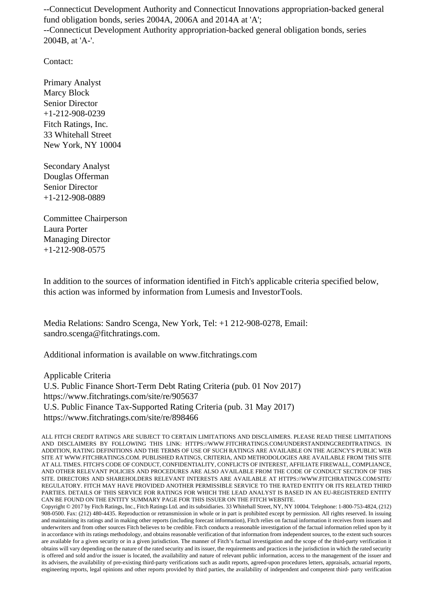--Connecticut Development Authority and Connecticut Innovations appropriation-backed general fund obligation bonds, series 2004A, 2006A and 2014A at 'A'; --Connecticut Development Authority appropriation-backed general obligation bonds, series 2004B, at 'A-'.

Contact:

 Primary Analyst Marcy Block Senior Director +1-212-908-0239 Fitch Ratings, Inc. 33 Whitehall Street New York, NY 10004

 Secondary Analyst Douglas Offerman Senior Director +1-212-908-0889

 Committee Chairperson Laura Porter Managing Director +1-212-908-0575

 In addition to the sources of information identified in Fitch's applicable criteria specified below, this action was informed by information from Lumesis and InvestorTools.

 Media Relations: Sandro Scenga, New York, Tel: +1 212-908-0278, Email: sandro.scenga@fitchratings.com.

Additional information is available on www.fitchratings.com

 Applicable Criteria U.S. Public Finance Short-Term Debt Rating Criteria (pub. 01 Nov 2017) https://www.fitchratings.com/site/re/905637 U.S. Public Finance Tax-Supported Rating Criteria (pub. 31 May 2017) https://www.fitchratings.com/site/re/898466

ALL FITCH CREDIT RATINGS ARE SUBJECT TO CERTAIN LIMITATIONS AND DISCLAIMERS. PLEASE READ THESE LIMITATIONS AND DISCLAIMERS BY FOLLOWING THIS LINK: HTTPS://WWW.FITCHRATINGS.COM/UNDERSTANDINGCREDITRATINGS. IN ADDITION, RATING DEFINITIONS AND THE TERMS OF USE OF SUCH RATINGS ARE AVAILABLE ON THE AGENCY'S PUBLIC WEB SITE AT WWW.FITCHRATINGS.COM. PUBLISHED RATINGS, CRITERIA, AND METHODOLOGIES ARE AVAILABLE FROM THIS SITE AT ALL TIMES. FITCH'S CODE OF CONDUCT, CONFIDENTIALITY, CONFLICTS OF INTEREST, AFFILIATE FIREWALL, COMPLIANCE, AND OTHER RELEVANT POLICIES AND PROCEDURES ARE ALSO AVAILABLE FROM THE CODE OF CONDUCT SECTION OF THIS SITE. DIRECTORS AND SHAREHOLDERS RELEVANT INTERESTS ARE AVAILABLE AT HTTPS://WWW.FITCHRATINGS.COM/SITE/ REGULATORY. FITCH MAY HAVE PROVIDED ANOTHER PERMISSIBLE SERVICE TO THE RATED ENTITY OR ITS RELATED THIRD PARTIES. DETAILS OF THIS SERVICE FOR RATINGS FOR WHICH THE LEAD ANALYST IS BASED IN AN EU-REGISTERED ENTITY CAN BE FOUND ON THE ENTITY SUMMARY PAGE FOR THIS ISSUER ON THE FITCH WEBSITE.

Copyright © 2017 by Fitch Ratings, Inc., Fitch Ratings Ltd. and its subsidiaries. 33 Whitehall Street, NY, NY 10004. Telephone: 1-800-753-4824, (212) 908-0500. Fax: (212) 480-4435. Reproduction or retransmission in whole or in part is prohibited except by permission. All rights reserved. In issuing and maintaining its ratings and in making other reports (including forecast information), Fitch relies on factual information it receives from issuers and underwriters and from other sources Fitch believes to be credible. Fitch conducts a reasonable investigation of the factual information relied upon by it in accordance with its ratings methodology, and obtains reasonable verification of that information from independent sources, to the extent such sources are available for a given security or in a given jurisdiction. The manner of Fitch's factual investigation and the scope of the third-party verification it obtains will vary depending on the nature of the rated security and its issuer, the requirements and practices in the jurisdiction in which the rated security is offered and sold and/or the issuer is located, the availability and nature of relevant public information, access to the management of the issuer and its advisers, the availability of pre-existing third-party verifications such as audit reports, agreed-upon procedures letters, appraisals, actuarial reports, engineering reports, legal opinions and other reports provided by third parties, the availability of independent and competent third- party verification